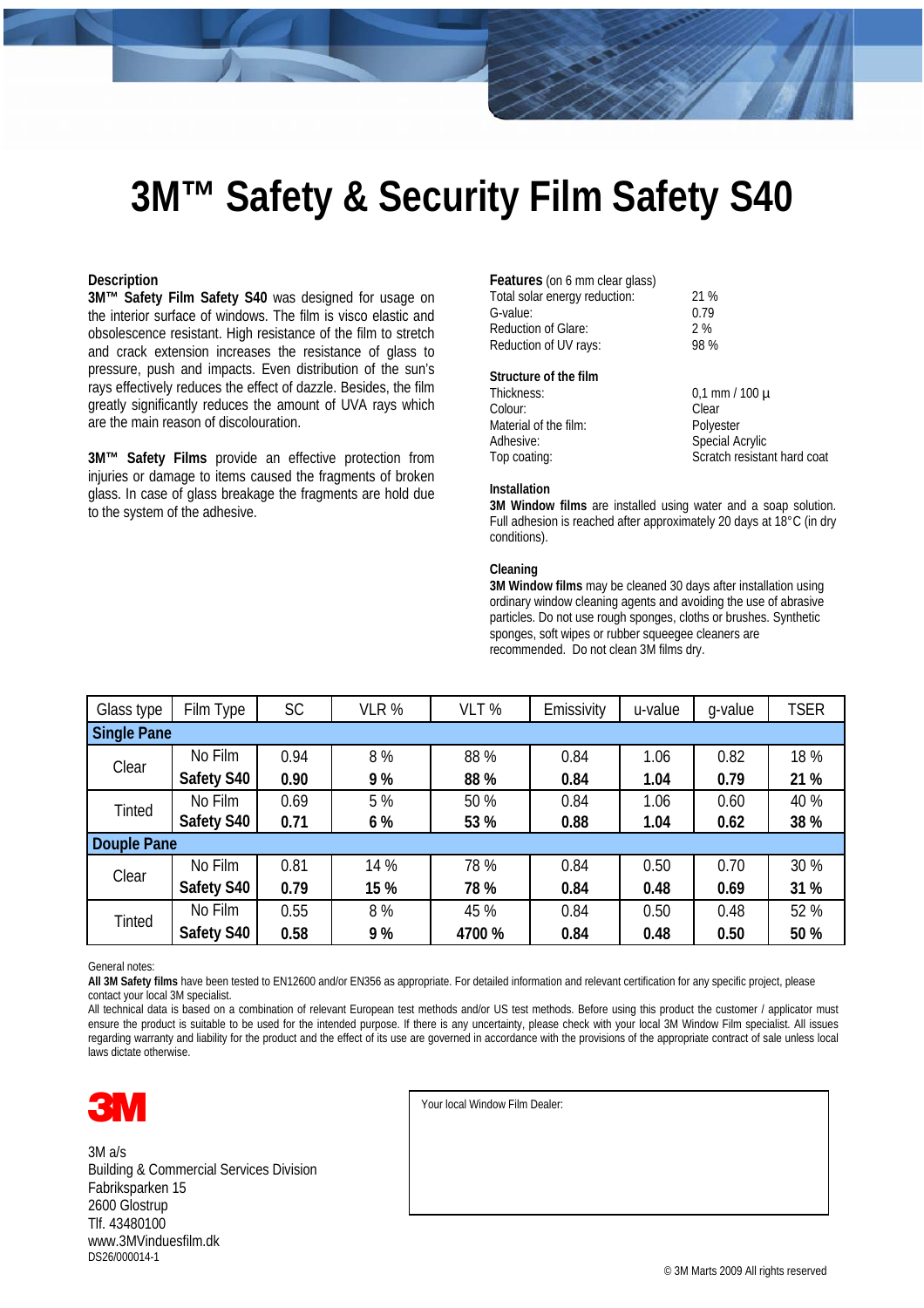## **3M™ Safety & Security Film Safety S40**

### **Description**

**3M™ Safety Film Safety S40** was designed for usage on the interior surface of windows. The film is visco elastic and obsolescence resistant. High resistance of the film to stretch and crack extension increases the resistance of glass to pressure, push and impacts. Even distribution of the sun's rays effectively reduces the effect of dazzle. Besides, the film greatly significantly reduces the amount of UVA rays which are the main reason of discolouration.

**3M™ Safety Films** provide an effective protection from injuries or damage to items caused the fragments of broken glass. In case of glass breakage the fragments are hold due to the system of the adhesive.

| <b>Features</b> (on 6 mm clear glass) |      |
|---------------------------------------|------|
| Total solar energy reduction:         | 21 % |
| G-value:                              | 0.79 |
| <b>Reduction of Glare:</b>            | 2%   |
| Reduction of UV rays:                 | 98 % |

### **Structure of the film**

| Thickness:            | $0.1$ mm / 100 $\mu$        |
|-----------------------|-----------------------------|
| Colour:               | Clear                       |
| Material of the film: | Polyester                   |
| Adhesive:             | Special Acrylic             |
| Top coating:          | Scratch resistant hard coat |
|                       |                             |

#### **Installation**

**3M Window films** are installed using water and a soap solution. Full adhesion is reached after approximately 20 days at 18°C (in dry conditions).

#### **Cleaning**

**3M Window films** may be cleaned 30 days after installation using ordinary window cleaning agents and avoiding the use of abrasive particles. Do not use rough sponges, cloths or brushes. Synthetic sponges, soft wipes or rubber squeegee cleaners are recommended. Do not clean 3M films dry.

| Glass type         | Film Type  | <b>SC</b> | VLR % | VLT %  | Emissivity | u-value | q-value | <b>TSER</b> |  |
|--------------------|------------|-----------|-------|--------|------------|---------|---------|-------------|--|
| <b>Single Pane</b> |            |           |       |        |            |         |         |             |  |
| Clear              | No Film    | 0.94      | 8%    | 88 %   | 0.84       | 1.06    | 0.82    | 18 %        |  |
|                    | Safety S40 | 0.90      | 9%    | 88 %   | 0.84       | 1.04    | 0.79    | 21 %        |  |
| <b>Tinted</b>      | No Film    | 0.69      | 5 %   | 50 %   | 0.84       | 1.06    | 0.60    | 40 %        |  |
|                    | Safety S40 | 0.71      | 6 %   | 53 %   | 0.88       | 1.04    | 0.62    | 38 %        |  |
| Douple Pane        |            |           |       |        |            |         |         |             |  |
| Clear              | No Film    | 0.81      | 14 %  | 78 %   | 0.84       | 0.50    | 0.70    | 30 %        |  |
|                    | Safety S40 | 0.79      | 15 %  | 78 %   | 0.84       | 0.48    | 0.69    | 31 %        |  |
| <b>Tinted</b>      | No Film    | 0.55      | 8%    | 45 %   | 0.84       | 0.50    | 0.48    | 52 %        |  |
|                    | Safety S40 | 0.58      | 9%    | 4700 % | 0.84       | 0.48    | 0.50    | 50 %        |  |

General notes:

**All 3M Safety films** have been tested to EN12600 and/or EN356 as appropriate. For detailed information and relevant certification for any specific project, please contact your local 3M specialist.

All technical data is based on a combination of relevant European test methods and/or US test methods. Before using this product the customer / applicator must ensure the product is suitable to be used for the intended purpose. If there is any uncertainty, please check with your local 3M Window Film specialist. All issues regarding warranty and liability for the product and the effect of its use are governed in accordance with the provisions of the appropriate contract of sale unless local laws dictate otherwise.



3M a/s Building & Commercial Services Division Fabriksparken 15 2600 Glostrup Tlf. 43480100 www.3MVinduesfilm.dk DS26/000014-1

Your local Window Film Dealer: